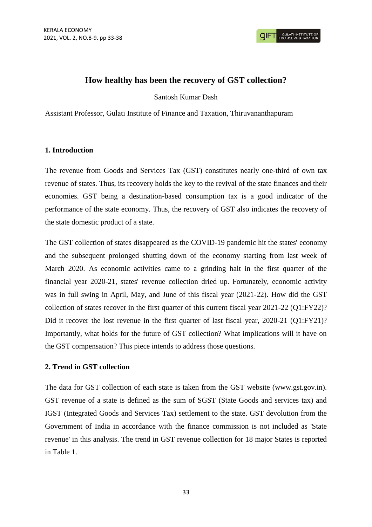

## **How healthy has been the recovery of GST collection?**

Santosh Kumar Dash

Assistant Professor, Gulati Institute of Finance and Taxation, Thiruvananthapuram

## **1. Introduction**

The revenue from Goods and Services Tax (GST) constitutes nearly one-third of own tax revenue of states. Thus, its recovery holds the key to the revival of the state finances and their economies. GST being a destination-based consumption tax is a good indicator of the performance of the state economy. Thus, the recovery of GST also indicates the recovery of the state domestic product of a state.

The GST collection of states disappeared as the COVID-19 pandemic hit the states' economy and the subsequent prolonged shutting down of the economy starting from last week of March 2020. As economic activities came to a grinding halt in the first quarter of the financial year 2020-21, states' revenue collection dried up. Fortunately, economic activity was in full swing in April, May, and June of this fiscal year (2021-22). How did the GST collection of states recover in the first quarter of this current fiscal year 2021-22 (Q1:FY22)? Did it recover the lost revenue in the first quarter of last fiscal year, 2020-21 (Q1:FY21)? Importantly, what holds for the future of GST collection? What implications will it have on the GST compensation? This piece intends to address those questions.

## **2. Trend in GST collection**

The data for GST collection of each state is taken from the GST website (www.gst.gov.in). GST revenue of a state is defined as the sum of SGST (State Goods and services tax) and IGST (Integrated Goods and Services Tax) settlement to the state. GST devolution from the Government of India in accordance with the finance commission is not included as 'State revenue' in this analysis. The trend in GST revenue collection for 18 major States is reported in Table 1.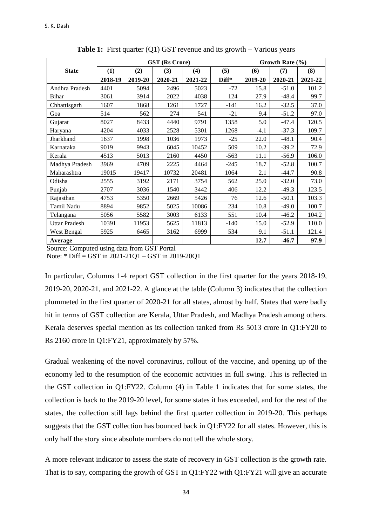|                      | <b>GST</b> (Rs Crore) |         |         |         |        | Growth Rate $(\% )$ |         |         |
|----------------------|-----------------------|---------|---------|---------|--------|---------------------|---------|---------|
| <b>State</b>         | (1)                   | (2)     | (3)     | (4)     | (5)    | (6)                 | (7)     | (8)     |
|                      | 2018-19               | 2019-20 | 2020-21 | 2021-22 | Diff*  | 2019-20             | 2020-21 | 2021-22 |
| Andhra Pradesh       | 4401                  | 5094    | 2496    | 5023    | $-72$  | 15.8                | $-51.0$ | 101.2   |
| <b>Bihar</b>         | 3061                  | 3914    | 2022    | 4038    | 124    | 27.9                | $-48.4$ | 99.7    |
| Chhattisgarh         | 1607                  | 1868    | 1261    | 1727    | $-141$ | 16.2                | $-32.5$ | 37.0    |
| Goa                  | 514                   | 562     | 274     | 541     | $-21$  | 9.4                 | $-51.2$ | 97.0    |
| Gujarat              | 8027                  | 8433    | 4440    | 9791    | 1358   | 5.0                 | $-47.4$ | 120.5   |
| Haryana              | 4204                  | 4033    | 2528    | 5301    | 1268   | $-4.1$              | $-37.3$ | 109.7   |
| Jharkhand            | 1637                  | 1998    | 1036    | 1973    | $-25$  | 22.0                | $-48.1$ | 90.4    |
| Karnataka            | 9019                  | 9943    | 6045    | 10452   | 509    | 10.2                | $-39.2$ | 72.9    |
| Kerala               | 4513                  | 5013    | 2160    | 4450    | $-563$ | 11.1                | $-56.9$ | 106.0   |
| Madhya Pradesh       | 3969                  | 4709    | 2225    | 4464    | $-245$ | 18.7                | $-52.8$ | 100.7   |
| Maharashtra          | 19015                 | 19417   | 10732   | 20481   | 1064   | 2.1                 | $-44.7$ | 90.8    |
| Odisha               | 2555                  | 3192    | 2171    | 3754    | 562    | 25.0                | $-32.0$ | 73.0    |
| Punjab               | 2707                  | 3036    | 1540    | 3442    | 406    | 12.2                | $-49.3$ | 123.5   |
| Rajasthan            | 4753                  | 5350    | 2669    | 5426    | 76     | 12.6                | $-50.1$ | 103.3   |
| Tamil Nadu           | 8894                  | 9852    | 5025    | 10086   | 234    | 10.8                | $-49.0$ | 100.7   |
| Telangana            | 5056                  | 5582    | 3003    | 6133    | 551    | 10.4                | $-46.2$ | 104.2   |
| <b>Uttar Pradesh</b> | 10391                 | 11953   | 5625    | 11813   | $-140$ | 15.0                | $-52.9$ | 110.0   |
| West Bengal          | 5925                  | 6465    | 3162    | 6999    | 534    | 9.1                 | $-51.1$ | 121.4   |
| Average              |                       |         |         |         |        | 12.7                | $-46.7$ | 97.9    |

**Table 1:** First quarter (Q1) GST revenue and its growth – Various years

Source: Computed using data from GST Portal

Note: \* Diff = GST in 2021-21Q1 – GST in 2019-20Q1

In particular, Columns 1-4 report GST collection in the first quarter for the years 2018-19, 2019-20, 2020-21, and 2021-22. A glance at the table (Column 3) indicates that the collection plummeted in the first quarter of 2020-21 for all states, almost by half. States that were badly hit in terms of GST collection are Kerala, Uttar Pradesh, and Madhya Pradesh among others. Kerala deserves special mention as its collection tanked from Rs 5013 crore in Q1:FY20 to Rs 2160 crore in Q1:FY21, approximately by 57%.

Gradual weakening of the novel coronavirus, rollout of the vaccine, and opening up of the economy led to the resumption of the economic activities in full swing. This is reflected in the GST collection in Q1:FY22. Column (4) in Table 1 indicates that for some states, the collection is back to the 2019-20 level, for some states it has exceeded, and for the rest of the states, the collection still lags behind the first quarter collection in 2019-20. This perhaps suggests that the GST collection has bounced back in Q1:FY22 for all states. However, this is only half the story since absolute numbers do not tell the whole story.

A more relevant indicator to assess the state of recovery in GST collection is the growth rate. That is to say, comparing the growth of GST in Q1:FY22 with Q1:FY21 will give an accurate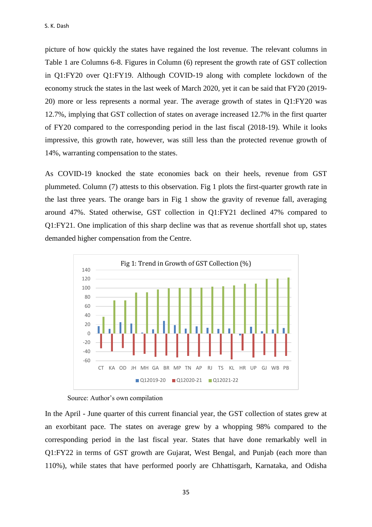picture of how quickly the states have regained the lost revenue. The relevant columns in Table 1 are Columns 6-8. Figures in Column (6) represent the growth rate of GST collection in Q1:FY20 over Q1:FY19. Although COVID-19 along with complete lockdown of the economy struck the states in the last week of March 2020, yet it can be said that FY20 (2019- 20) more or less represents a normal year. The average growth of states in Q1:FY20 was 12.7%, implying that GST collection of states on average increased 12.7% in the first quarter of FY20 compared to the corresponding period in the last fiscal (2018-19). While it looks impressive, this growth rate, however, was still less than the protected revenue growth of 14%, warranting compensation to the states.

As COVID-19 knocked the state economies back on their heels, revenue from GST plummeted. Column (7) attests to this observation. Fig 1 plots the first-quarter growth rate in the last three years. The orange bars in Fig 1 show the gravity of revenue fall, averaging around 47%. Stated otherwise, GST collection in Q1:FY21 declined 47% compared to Q1:FY21. One implication of this sharp decline was that as revenue shortfall shot up, states demanded higher compensation from the Centre.



Source: Author's own compilation

In the April - June quarter of this current financial year, the GST collection of states grew at an exorbitant pace. The states on average grew by a whopping 98% compared to the corresponding period in the last fiscal year. States that have done remarkably well in Q1:FY22 in terms of GST growth are Gujarat, West Bengal, and Punjab (each more than 110%), while states that have performed poorly are Chhattisgarh, Karnataka, and Odisha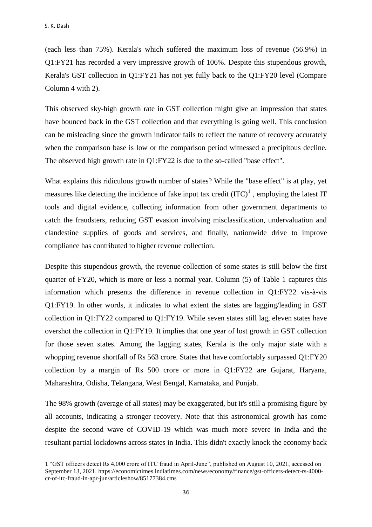$\overline{a}$ 

(each less than 75%). Kerala's which suffered the maximum loss of revenue (56.9%) in Q1:FY21 has recorded a very impressive growth of 106%. Despite this stupendous growth, Kerala's GST collection in Q1:FY21 has not yet fully back to the Q1:FY20 level (Compare Column 4 with 2).

This observed sky-high growth rate in GST collection might give an impression that states have bounced back in the GST collection and that everything is going well. This conclusion can be misleading since the growth indicator fails to reflect the nature of recovery accurately when the comparison base is low or the comparison period witnessed a precipitous decline. The observed high growth rate in Q1:FY22 is due to the so-called "base effect".

What explains this ridiculous growth number of states? While the "base effect" is at play, yet measures like detecting the incidence of fake input tax credit  ${(ITC)}<sup>1</sup>$ , employing the latest IT tools and digital evidence, collecting information from other government departments to catch the fraudsters, reducing GST evasion involving misclassification, undervaluation and clandestine supplies of goods and services, and finally, nationwide drive to improve compliance has contributed to higher revenue collection.

Despite this stupendous growth, the revenue collection of some states is still below the first quarter of FY20, which is more or less a normal year. Column (5) of Table 1 captures this information which presents the difference in revenue collection in Q1:FY22 vis-à-vis Q1:FY19. In other words, it indicates to what extent the states are lagging/leading in GST collection in Q1:FY22 compared to Q1:FY19. While seven states still lag, eleven states have overshot the collection in Q1:FY19. It implies that one year of lost growth in GST collection for those seven states. Among the lagging states, Kerala is the only major state with a whopping revenue shortfall of Rs 563 crore. States that have comfortably surpassed Q1:FY20 collection by a margin of Rs 500 crore or more in Q1:FY22 are Gujarat, Haryana, Maharashtra, Odisha, Telangana, West Bengal, Karnataka, and Punjab.

The 98% growth (average of all states) may be exaggerated, but it's still a promising figure by all accounts, indicating a stronger recovery. Note that this astronomical growth has come despite the second wave of COVID-19 which was much more severe in India and the resultant partial lockdowns across states in India. This didn't exactly knock the economy back

<sup>1</sup> "GST officers detect Rs 4,000 crore of ITC fraud in April-June", published on August 10, 2021, accessed on September 13, 2021. https://economictimes.indiatimes.com/news/economy/finance/gst-officers-detect-rs-4000 cr-of-itc-fraud-in-apr-jun/articleshow/85177384.cms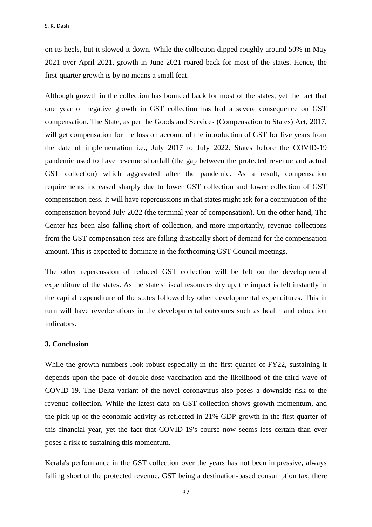on its heels, but it slowed it down. While the collection dipped roughly around 50% in May 2021 over April 2021, growth in June 2021 roared back for most of the states. Hence, the first-quarter growth is by no means a small feat.

Although growth in the collection has bounced back for most of the states, yet the fact that one year of negative growth in GST collection has had a severe consequence on GST compensation. The State, as per the Goods and Services (Compensation to States) Act, 2017, will get compensation for the loss on account of the introduction of GST for five years from the date of implementation i.e., July 2017 to July 2022. States before the COVID-19 pandemic used to have revenue shortfall (the gap between the protected revenue and actual GST collection) which aggravated after the pandemic. As a result, compensation requirements increased sharply due to lower GST collection and lower collection of GST compensation cess. It will have repercussions in that states might ask for a continuation of the compensation beyond July 2022 (the terminal year of compensation). On the other hand, The Center has been also falling short of collection, and more importantly, revenue collections from the GST compensation cess are falling drastically short of demand for the compensation amount. This is expected to dominate in the forthcoming GST Council meetings.

The other repercussion of reduced GST collection will be felt on the developmental expenditure of the states. As the state's fiscal resources dry up, the impact is felt instantly in the capital expenditure of the states followed by other developmental expenditures. This in turn will have reverberations in the developmental outcomes such as health and education indicators.

## **3. Conclusion**

While the growth numbers look robust especially in the first quarter of FY22, sustaining it depends upon the pace of double-dose vaccination and the likelihood of the third wave of COVID-19. The Delta variant of the novel coronavirus also poses a downside risk to the revenue collection. While the latest data on GST collection shows growth momentum, and the pick-up of the economic activity as reflected in 21% GDP growth in the first quarter of this financial year, yet the fact that COVID-19's course now seems less certain than ever poses a risk to sustaining this momentum.

Kerala's performance in the GST collection over the years has not been impressive, always falling short of the protected revenue. GST being a destination-based consumption tax, there